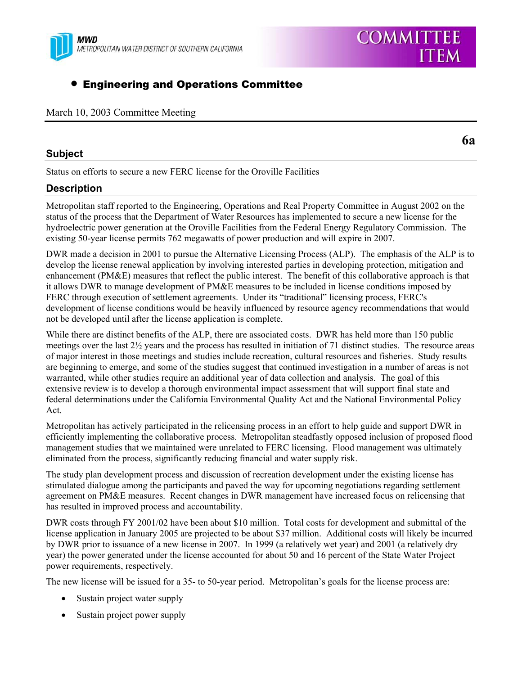

# **• Engineering and Operations Committee**

### March 10, 2003 Committee Meeting

### **Subject**

**6a**

Status on efforts to secure a new FERC license for the Oroville Facilities

## **Description**

Metropolitan staff reported to the Engineering, Operations and Real Property Committee in August 2002 on the status of the process that the Department of Water Resources has implemented to secure a new license for the hydroelectric power generation at the Oroville Facilities from the Federal Energy Regulatory Commission. The existing 50-year license permits 762 megawatts of power production and will expire in 2007.

DWR made a decision in 2001 to pursue the Alternative Licensing Process (ALP). The emphasis of the ALP is to develop the license renewal application by involving interested parties in developing protection, mitigation and enhancement (PM&E) measures that reflect the public interest. The benefit of this collaborative approach is that it allows DWR to manage development of PM&E measures to be included in license conditions imposed by FERC through execution of settlement agreements. Under its "traditional" licensing process, FERC's development of license conditions would be heavily influenced by resource agency recommendations that would not be developed until after the license application is complete.

While there are distinct benefits of the ALP, there are associated costs. DWR has held more than 150 public meetings over the last 2½ years and the process has resulted in initiation of 71 distinct studies. The resource areas of major interest in those meetings and studies include recreation, cultural resources and fisheries. Study results are beginning to emerge, and some of the studies suggest that continued investigation in a number of areas is not warranted, while other studies require an additional year of data collection and analysis. The goal of this extensive review is to develop a thorough environmental impact assessment that will support final state and federal determinations under the California Environmental Quality Act and the National Environmental Policy Act.

Metropolitan has actively participated in the relicensing process in an effort to help guide and support DWR in efficiently implementing the collaborative process. Metropolitan steadfastly opposed inclusion of proposed flood management studies that we maintained were unrelated to FERC licensing. Flood management was ultimately eliminated from the process, significantly reducing financial and water supply risk.

The study plan development process and discussion of recreation development under the existing license has stimulated dialogue among the participants and paved the way for upcoming negotiations regarding settlement agreement on PM&E measures. Recent changes in DWR management have increased focus on relicensing that has resulted in improved process and accountability.

DWR costs through FY 2001/02 have been about \$10 million. Total costs for development and submittal of the license application in January 2005 are projected to be about \$37 million. Additional costs will likely be incurred by DWR prior to issuance of a new license in 2007. In 1999 (a relatively wet year) and 2001 (a relatively dry year) the power generated under the license accounted for about 50 and 16 percent of the State Water Project power requirements, respectively.

The new license will be issued for a 35- to 50-year period. Metropolitan's goals for the license process are:

- Sustain project water supply
- Sustain project power supply